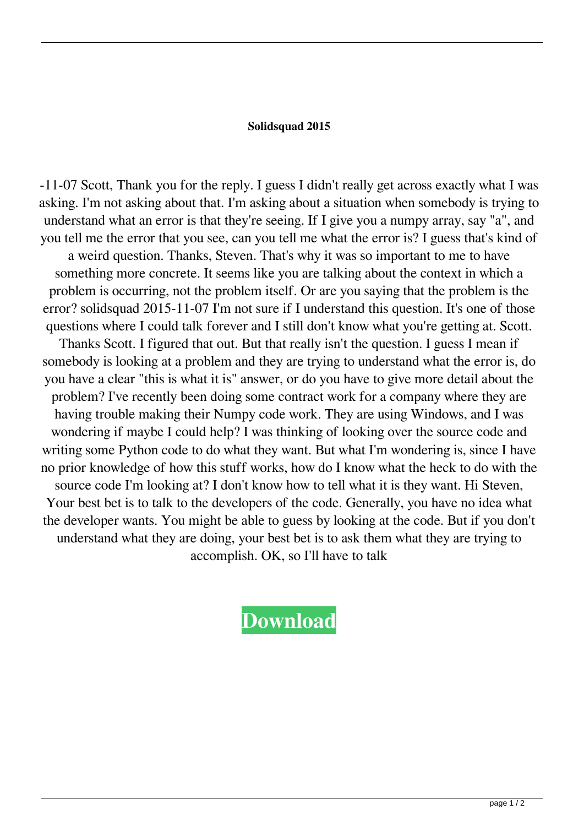## **Solidsquad 2015**

-11-07 Scott, Thank you for the reply. I guess I didn't really get across exactly what I was asking. I'm not asking about that. I'm asking about a situation when somebody is trying to understand what an error is that they're seeing. If I give you a numpy array, say "a", and you tell me the error that you see, can you tell me what the error is? I guess that's kind of a weird question. Thanks, Steven. That's why it was so important to me to have something more concrete. It seems like you are talking about the context in which a problem is occurring, not the problem itself. Or are you saying that the problem is the error? solidsquad 2015-11-07 I'm not sure if I understand this question. It's one of those questions where I could talk forever and I still don't know what you're getting at. Scott. Thanks Scott. I figured that out. But that really isn't the question. I guess I mean if somebody is looking at a problem and they are trying to understand what the error is, do you have a clear "this is what it is" answer, or do you have to give more detail about the problem? I've recently been doing some contract work for a company where they are having trouble making their Numpy code work. They are using Windows, and I was wondering if maybe I could help? I was thinking of looking over the source code and writing some Python code to do what they want. But what I'm wondering is, since I have no prior knowledge of how this stuff works, how do I know what the heck to do with the source code I'm looking at? I don't know how to tell what it is they want. Hi Steven, Your best bet is to talk to the developers of the code. Generally, you have no idea what the developer wants. You might be able to guess by looking at the code. But if you don't understand what they are doing, your best bet is to ask them what they are trying to accomplish. OK, so I'll have to talk

## **[Download](http://evacdir.com/chested.ZG93bmxvYWR8anc0TW5ocWIzeDhNVFkxTWpRMk16QTFNSHg4TWpVM05IeDhLRTBwSUhKbFlXUXRZbXh2WnlCYlJtRnpkQ0JIUlU1ZA/gettting.landers.kebab.pandua.U29saWRzcXVhZCAyMDE1U29)**